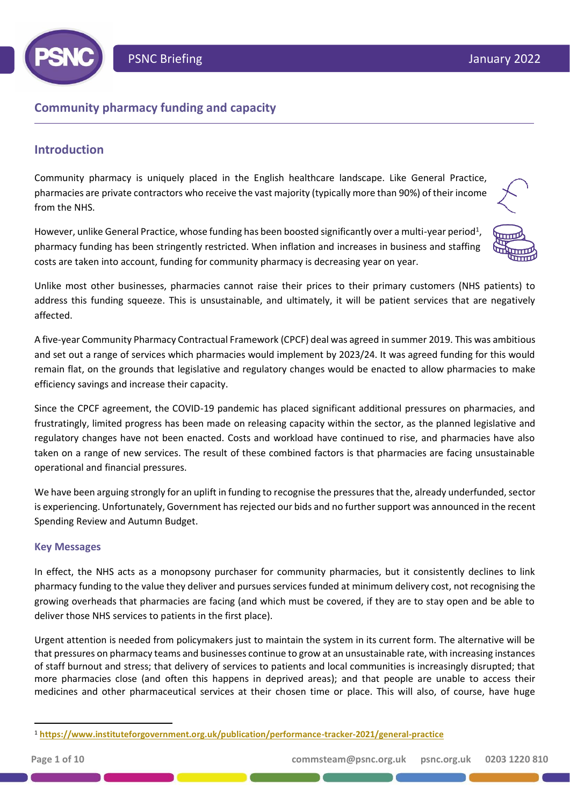

# **Community pharmacy funding and capacity**

# **Introduction**

Community pharmacy is uniquely placed in the English healthcare landscape. Like General Practice, pharmacies are private contractors who receive the vast majority (typically more than 90%) of their income from the NHS.

However, unlike General Practice, whose funding has been boosted significantly over a multi-year period<sup>1</sup>, pharmacy funding has been stringently restricted. When inflation and increases in business and staffing costs are taken into account, funding for community pharmacy is decreasing year on year.



Unlike most other businesses, pharmacies cannot raise their prices to their primary customers (NHS patients) to address this funding squeeze. This is unsustainable, and ultimately, it will be patient services that are negatively affected.

A five-year Community Pharmacy Contractual Framework (CPCF) deal was agreed in summer 2019. This was ambitious and set out a range of services which pharmacies would implement by 2023/24. It was agreed funding for this would remain flat, on the grounds that legislative and regulatory changes would be enacted to allow pharmacies to make efficiency savings and increase their capacity.

Since the CPCF agreement, the COVID-19 pandemic has placed significant additional pressures on pharmacies, and frustratingly, limited progress has been made on releasing capacity within the sector, as the planned legislative and regulatory changes have not been enacted. Costs and workload have continued to rise, and pharmacies have also taken on a range of new services. The result of these combined factors is that pharmacies are facing unsustainable operational and financial pressures.

We have been arguing strongly for an uplift in funding to recognise the pressures that the, already underfunded, sector is experiencing. Unfortunately, Government has rejected our bids and no further support was announced in the recent Spending Review and Autumn Budget.

## **Key Messages**

In effect, the NHS acts as a monopsony purchaser for community pharmacies, but it consistently declines to link pharmacy funding to the value they deliver and pursues services funded at minimum delivery cost, not recognising the growing overheads that pharmacies are facing (and which must be covered, if they are to stay open and be able to deliver those NHS services to patients in the first place).

Urgent attention is needed from policymakers just to maintain the system in its current form. The alternative will be that pressures on pharmacy teams and businesses continue to grow at an unsustainable rate, with increasing instances of staff burnout and stress; that delivery of services to patients and local communities is increasingly disrupted; that more pharmacies close (and often this happens in deprived areas); and that people are unable to access their medicines and other pharmaceutical services at their chosen time or place. This will also, of course, have huge

<sup>1</sup> **<https://www.instituteforgovernment.org.uk/publication/performance-tracker-2021/general-practice>**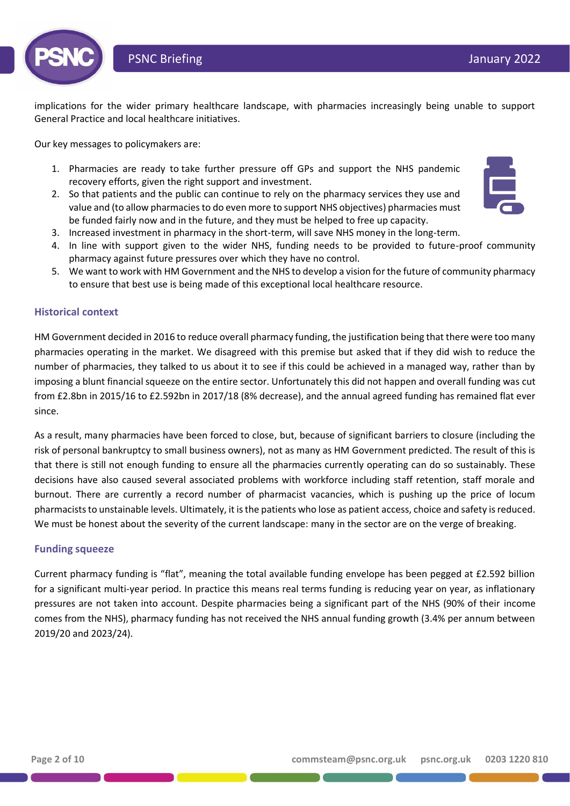

implications for the wider primary healthcare landscape, with pharmacies increasingly being unable to support General Practice and local healthcare initiatives.

Our key messages to policymakers are:

- 1. Pharmacies are ready to take further pressure off GPs and support the NHS pandemic recovery efforts, given the right support and investment.
- 2. So that patients and the public can continue to rely on the pharmacy services they use and value and (to allow pharmacies to do even more to support NHS objectives) pharmacies must be funded fairly now and in the future, and they must be helped to free up capacity.
- 3. Increased investment in pharmacy in the short-term, will save NHS money in the long-term.
- 4. In line with support given to the wider NHS, funding needs to be provided to future-proof community pharmacy against future pressures over which they have no control.
- 5. We want to work with HM Government and the NHS to develop a vision for the future of community pharmacy to ensure that best use is being made of this exceptional local healthcare resource.

## **Historical context**

HM Government decided in 2016 to reduce overall pharmacy funding, the justification being that there were too many pharmacies operating in the market. We disagreed with this premise but asked that if they did wish to reduce the number of pharmacies, they talked to us about it to see if this could be achieved in a managed way, rather than by imposing a blunt financial squeeze on the entire sector. Unfortunately this did not happen and overall funding was cut from £2.8bn in 2015/16 to £2.592bn in 2017/18 (8% decrease), and the annual agreed funding has remained flat ever since.

As a result, many pharmacies have been forced to close, but, because of significant barriers to closure (including the risk of personal bankruptcy to small business owners), not as many as HM Government predicted. The result of this is that there is still not enough funding to ensure all the pharmacies currently operating can do so sustainably. These decisions have also caused several associated problems with workforce including staff retention, staff morale and burnout. There are currently a record number of pharmacist vacancies, which is pushing up the price of locum pharmacists to unstainable levels. Ultimately, it is the patients who lose as patient access, choice and safety is reduced. We must be honest about the severity of the current landscape: many in the sector are on the verge of breaking.

#### **Funding squeeze**

Current pharmacy funding is "flat", meaning the total available funding envelope has been pegged at £2.592 billion for a significant multi-year period. In practice this means real terms funding is reducing year on year, as inflationary pressures are not taken into account. Despite pharmacies being a significant part of the NHS (90% of their income comes from the NHS), pharmacy funding has not received the NHS annual funding growth (3.4% per annum between 2019/20 and 2023/24).

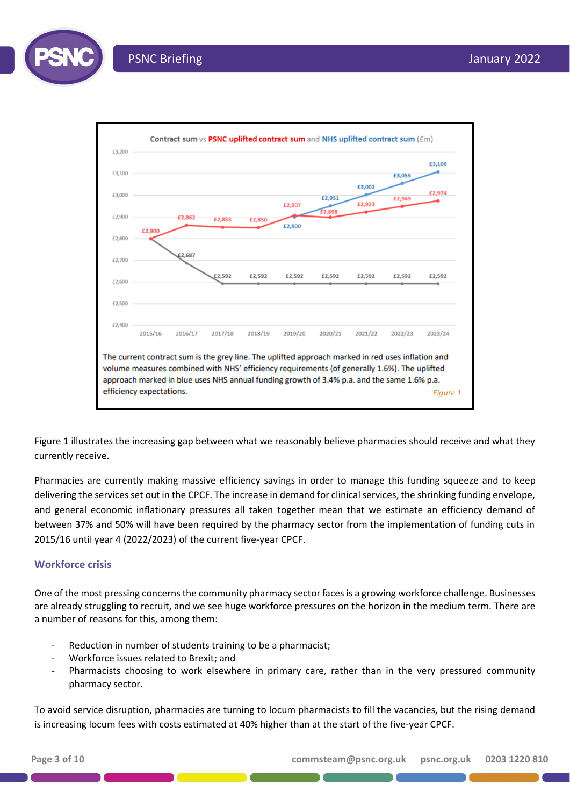

Figure 1 illustrates the increasing gap between what we reasonably believe pharmacies should receive and what they currently receive.

Pharmacies are currently making massive efficiency savings in order to manage this funding squeeze and to keep delivering the services set out in the CPCF. The increase in demand for clinical services, the shrinking funding envelope, and general economic inflationary pressures all taken together mean that we estimate an efficiency demand of between 37% and 50% will have been required by the pharmacy sector from the implementation of funding cuts in 2015/16 until year 4 (2022/2023) of the current five-year CPCF.

## **Workforce crisis**

One of the most pressing concernsthe community pharmacy sector faces is a growing workforce challenge. Businesses are already struggling to recruit, and we see huge workforce pressures on the horizon in the medium term. There are a number of reasons for this, among them:

- Reduction in number of students training to be a pharmacist;
- Workforce issues related to Brexit; and
- Pharmacists choosing to work elsewhere in primary care, rather than in the very pressured community pharmacy sector.

To avoid service disruption, pharmacies are turning to locum pharmacists to fill the vacancies, but the rising demand is increasing locum fees with costs estimated at 40% higher than at the start of the five-year CPCF.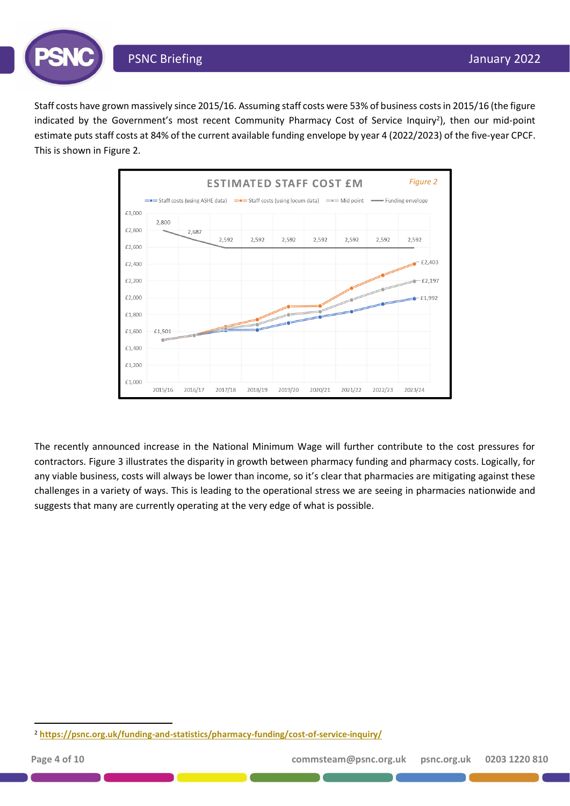



The recently announced increase in the National Minimum Wage will further contribute to the cost pressures for contractors. Figure 3 illustrates the disparity in growth between pharmacy funding and pharmacy costs. Logically, for any viable business, costs will always be lower than income, so it's clear that pharmacies are mitigating against these challenges in a variety of ways. This is leading to the operational stress we are seeing in pharmacies nationwide and suggests that many are currently operating at the very edge of what is possible.

<sup>2</sup> **<https://psnc.org.uk/funding-and-statistics/pharmacy-funding/cost-of-service-inquiry/>**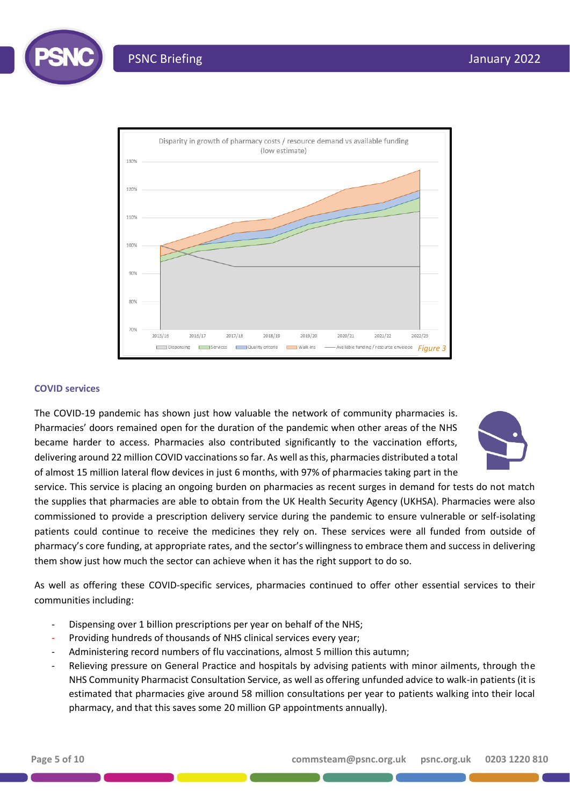



#### **COVID services**

The COVID-19 pandemic has shown just how valuable the network of community pharmacies is. Pharmacies' doors remained open for the duration of the pandemic when other areas of the NHS became harder to access. Pharmacies also contributed significantly to the vaccination efforts, delivering around 22 million COVID vaccinationsso far. As well as this, pharmacies distributed a total of almost 15 million lateral flow devices in just 6 months, with 97% of pharmacies taking part in the



service. This service is placing an ongoing burden on pharmacies as recent surges in demand for tests do not match the supplies that pharmacies are able to obtain from the UK Health Security Agency (UKHSA). Pharmacies were also commissioned to provide a prescription delivery service during the pandemic to ensure vulnerable or self-isolating patients could continue to receive the medicines they rely on. These services were all funded from outside of pharmacy's core funding, at appropriate rates, and the sector's willingness to embrace them and success in delivering them show just how much the sector can achieve when it has the right support to do so.

As well as offering these COVID-specific services, pharmacies continued to offer other essential services to their communities including:

- Dispensing over 1 billion prescriptions per year on behalf of the NHS;
- Providing hundreds of thousands of NHS clinical services every year;
- Administering record numbers of flu vaccinations, almost 5 million this autumn;
- Relieving pressure on General Practice and hospitals by advising patients with minor ailments, through the NHS Community Pharmacist Consultation Service, as well as offering unfunded advice to walk-in patients (it is estimated that pharmacies give around 58 million consultations per year to patients walking into their local pharmacy, and that this saves some 20 million GP appointments annually).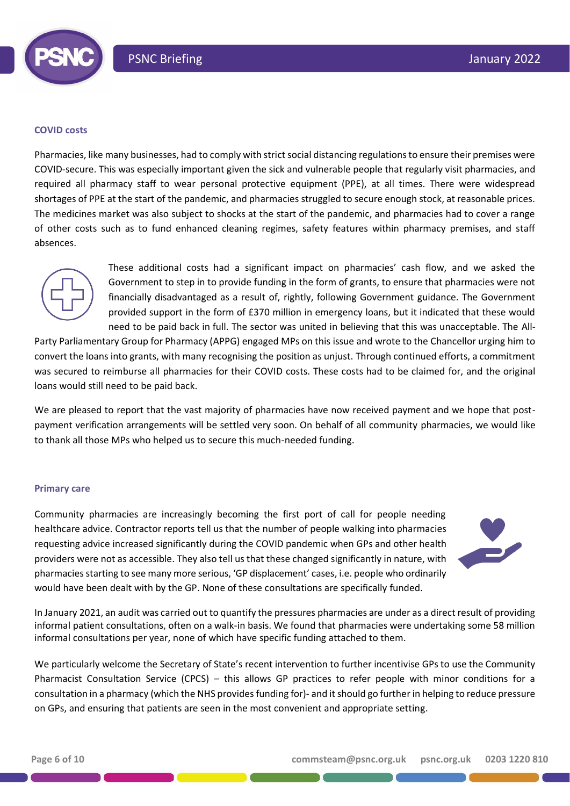

#### **COVID costs**

Pharmacies, like many businesses, had to comply with strict social distancing regulations to ensure their premises were COVID-secure. This was especially important given the sick and vulnerable people that regularly visit pharmacies, and required all pharmacy staff to wear personal protective equipment (PPE), at all times. There were widespread shortages of PPE at the start of the pandemic, and pharmacies struggled to secure enough stock, at reasonable prices. The medicines market was also subject to shocks at the start of the pandemic, and pharmacies had to cover a range of other costs such as to fund enhanced cleaning regimes, safety features within pharmacy premises, and staff absences.



These additional costs had a significant impact on pharmacies' cash flow, and we asked the Government to step in to provide funding in the form of grants, to ensure that pharmacies were not financially disadvantaged as a result of, rightly, following Government guidance. The Government provided support in the form of £370 million in emergency loans, but it indicated that these would need to be paid back in full. The sector was united in believing that this was unacceptable. The All-

Party Parliamentary Group for Pharmacy (APPG) engaged MPs on this issue and wrote to the Chancellor urging him to convert the loans into grants, with many recognising the position as unjust. Through continued efforts, a commitment was secured to reimburse all pharmacies for their COVID costs. These costs had to be claimed for, and the original loans would still need to be paid back.

We are pleased to report that the vast majority of pharmacies have now received payment and we hope that postpayment verification arrangements will be settled very soon. On behalf of all community pharmacies, we would like to thank all those MPs who helped us to secure this much-needed funding.

#### **Primary care**

Community pharmacies are increasingly becoming the first port of call for people needing healthcare advice. Contractor reports tell us that the number of people walking into pharmacies requesting advice increased significantly during the COVID pandemic when GPs and other health providers were not as accessible. They also tell us that these changed significantly in nature, with pharmaciesstarting to see many more serious, 'GP displacement' cases, i.e. people who ordinarily would have been dealt with by the GP. None of these consultations are specifically funded.



In January 2021, an audit was carried out to quantify the pressures pharmacies are under as a direct result of providing informal patient consultations, often on a walk-in basis. We found that pharmacies were undertaking some 58 million informal consultations per year, none of which have specific funding attached to them.

We particularly welcome the Secretary of State's recent intervention to further incentivise GPs to use the Community Pharmacist Consultation Service (CPCS) – this allows GP practices to refer people with minor conditions for a consultation in a pharmacy (which the NHS provides funding for)- and it should go further in helping to reduce pressure on GPs, and ensuring that patients are seen in the most convenient and appropriate setting.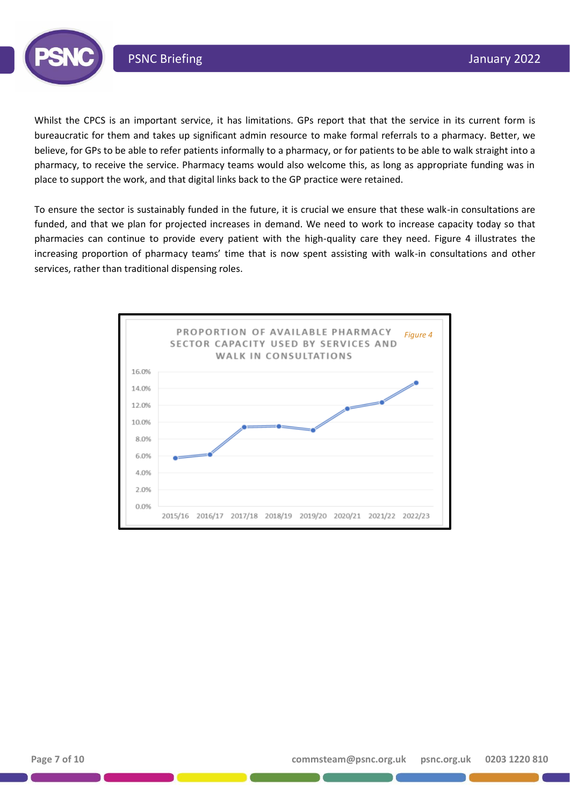

Whilst the CPCS is an important service, it has limitations. GPs report that that the service in its current form is bureaucratic for them and takes up significant admin resource to make formal referrals to a pharmacy. Better, we believe, for GPs to be able to refer patients informally to a pharmacy, or for patients to be able to walk straight into a pharmacy, to receive the service. Pharmacy teams would also welcome this, as long as appropriate funding was in place to support the work, and that digital links back to the GP practice were retained.

To ensure the sector is sustainably funded in the future, it is crucial we ensure that these walk-in consultations are funded, and that we plan for projected increases in demand. We need to work to increase capacity today so that pharmacies can continue to provide every patient with the high-quality care they need. Figure 4 illustrates the increasing proportion of pharmacy teams' time that is now spent assisting with walk-in consultations and other services, rather than traditional dispensing roles.

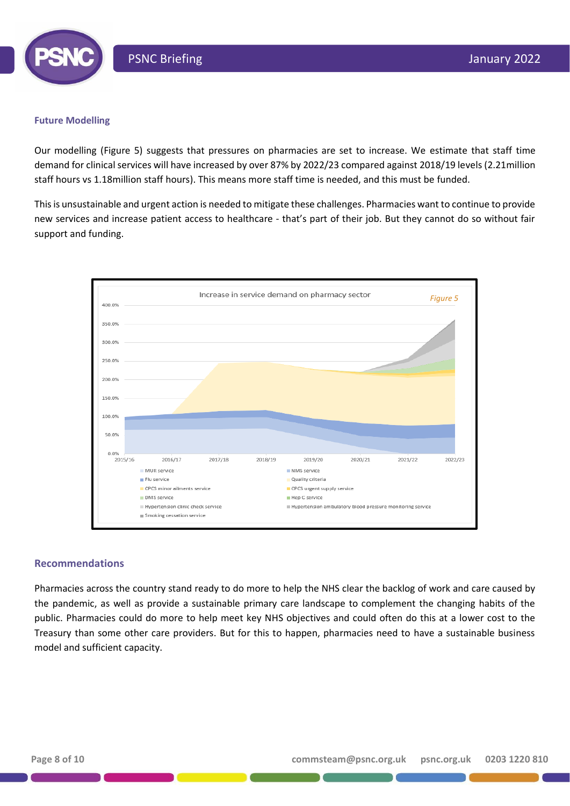

### **Future Modelling**

Our modelling (Figure 5) suggests that pressures on pharmacies are set to increase. We estimate that staff time demand for clinical services will have increased by over 87% by 2022/23 compared against 2018/19 levels (2.21million staff hours vs 1.18million staff hours). This means more staff time is needed, and this must be funded.

This is unsustainable and urgent action is needed to mitigate these challenges. Pharmacies want to continue to provide new services and increase patient access to healthcare - that's part of their job. But they cannot do so without fair support and funding.



#### **Recommendations**

Pharmacies across the country stand ready to do more to help the NHS clear the backlog of work and care caused by the pandemic, as well as provide a sustainable primary care landscape to complement the changing habits of the public. Pharmacies could do more to help meet key NHS objectives and could often do this at a lower cost to the Treasury than some other care providers. But for this to happen, pharmacies need to have a sustainable business model and sufficient capacity.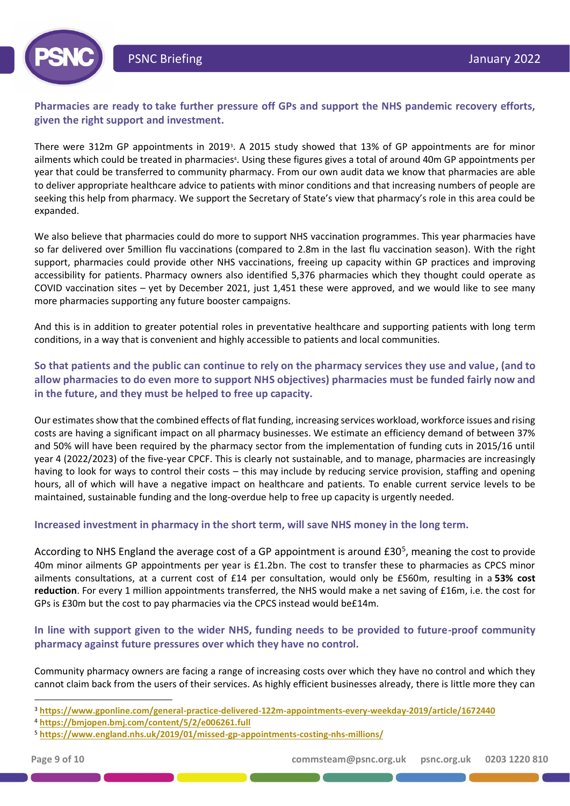

# **Pharmacies are ready to take further pressure off GPs and support the NHS pandemic recovery efforts, given the right support and investment.**

There were 312m GP appointments in 2019<sup>3</sup>. A 2015 study showed that 13% of GP appointments are for minor ailments which could be treated in pharmacies<sup>4</sup>. Using these figures gives a total of around 40m GP appointments per year that could be transferred to community pharmacy. From our own audit data we know that pharmacies are able to deliver appropriate healthcare advice to patients with minor conditions and that increasing numbers of people are seeking this help from pharmacy. We support the Secretary of State's view that pharmacy's role in this area could be expanded.

We also believe that pharmacies could do more to support NHS vaccination programmes. This year pharmacies have so far delivered over 5million flu vaccinations (compared to 2.8m in the last flu vaccination season). With the right support, pharmacies could provide other NHS vaccinations, freeing up capacity within GP practices and improving accessibility for patients. Pharmacy owners also identified 5,376 pharmacies which they thought could operate as COVID vaccination sites – yet by December 2021, just 1,451 these were approved, and we would like to see many more pharmacies supporting any future booster campaigns.

And this is in addition to greater potential roles in preventative healthcare and supporting patients with long term conditions, in a way that is convenient and highly accessible to patients and local communities.

**So that patients and the public can continue to rely on the pharmacy services they use and value, (and to allow pharmacies to do even more to support NHS objectives) pharmacies must be funded fairly now and in the future, and they must be helped to free up capacity.** 

Our estimates show that the combined effects of flat funding, increasing services workload, workforce issues and rising costs are having a significant impact on all pharmacy businesses. We estimate an efficiency demand of between 37% and 50% will have been required by the pharmacy sector from the implementation of funding cuts in 2015/16 until year 4 (2022/2023) of the five-year CPCF. This is clearly not sustainable, and to manage, pharmacies are increasingly having to look for ways to control their costs – this may include by reducing service provision, staffing and opening hours, all of which will have a negative impact on healthcare and patients. To enable current service levels to be maintained, sustainable funding and the long-overdue help to free up capacity is urgently needed.

## **Increased investment in pharmacy in the short term, will save NHS money in the long term.**

According to NHS England the average cost of a GP appointment is around £30<sup>5</sup>, meaning the cost to provide 40m minor ailments GP appointments per year is £1.2bn. The cost to transfer these to pharmacies as CPCS minor ailments consultations, at a current cost of £14 per consultation, would only be £560m, resulting in a **53% cost reduction**. For every 1 million appointments transferred, the NHS would make a net saving of £16m, i.e. the cost for GPs is £30m but the cost to pay pharmacies via the CPCS instead would be£14m.

## **In line with support given to the wider NHS, funding needs to be provided to future-proof community pharmacy against future pressures over which they have no control.**

Community pharmacy owners are facing a range of increasing costs over which they have no control and which they cannot claim back from the users of their services. As highly efficient businesses already, there is little more they can

<sup>3</sup> **<https://www.gponline.com/general-practice-delivered-122m-appointments-every-weekday-2019/article/1672440>**

<sup>4</sup> **<https://bmjopen.bmj.com/content/5/2/e006261.full>**

<sup>5</sup> **https://www.england.nhs.uk/2019/01/missed-gp-appointments-costing-nhs-millions/**